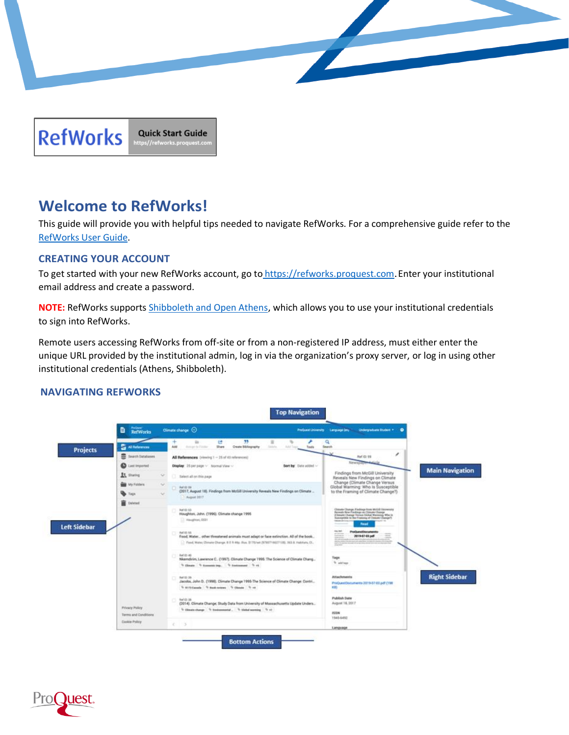



# **Welcome to RefWorks!**

This guide will provide you with helpful tips needed to navigate RefWorks. For a comprehensive guide refer to the [RefWorks User Guide.](https://knowledge.exlibrisgroup.com/RefWorks/Product_Documentation/RefWorks_User_Guide)

# **CREATING YOUR ACCOUNT**

To get started with your new RefWorks account, go to [https://refworks.proquest.com](https://refworks.proquest.com/). Enter your institutional email address and create a password.

**NOTE:** RefWorks supports [Shibboleth and Open Athens,](https://support.proquest.com/refworks3/articledetail?id=kA0400000004JJjCAM&key=shibboleth&pcat=All__c&icat=) which allows you to use your institutional credentials to sign into RefWorks.

Remote users accessing RefWorks from off-site or from a non-registered IP address, must either enter the unique URL provided by the institutional admin, log in via the organization's proxy server, or log in using other institutional credentials (Athens, Shibboleth).

# **NAVIGATING REFWORKS**



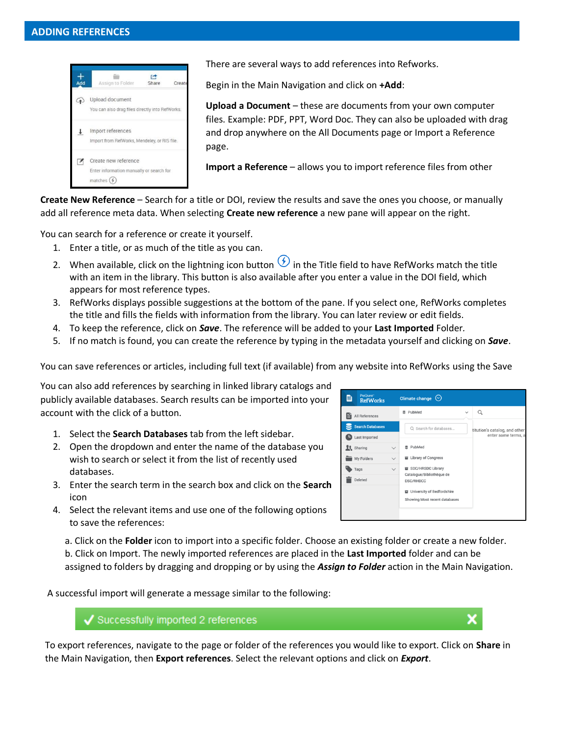

There are several ways to add references into Refworks.

Begin in the Main Navigation and click on **+Add**:

**Upload a Document** – these are documents from your own computer files. Example: PDF, PPT, Word Doc. They can also be uploaded with drag and drop anywhere on the All Documents page or Import a Reference page.

**Import a Reference** – allows you to import reference files from other

**Create New Reference** – Search for a title or DOI, review the results and save the ones you choose, or manually add all reference meta data. When selecting **Create new reference** a new pane will appear on the right.

You can search for a reference or create it yourself.

- 1. Enter a title, or as much of the title as you can.
- 2. When available, click on the lightning icon button  $\bigcirc$  in the Title field to have RefWorks match the title with an item in the library. This button is also available after you enter a value in the DOI field, which appears for most reference types.
- 3. RefWorks displays possible suggestions at the bottom of the pane. If you select one, RefWorks completes the title and fills the fields with information from the library. You can later review or edit fields.
- 4. To keep the reference, click on *Save*. The reference will be added to your **Last Imported** Folder*.*
- 5. If no match is found, you can create the reference by typing in the metadata yourself and clicking on *Save*.

You can save references or articles, including full text (if available) from any website into RefWorks using the Save

You can also add references by searching in linked library catalogs and publicly available databases. Search results can be imported into your account with the click of a button.

- 1. Select the **Search Databases** tab from the left sidebar.
- 2. Open the dropdown and enter the name of the database you wish to search or select it from the list of recently used databases.
- 3. Enter the search term in the search box and click on the **Search** icon
- 4. Select the relevant items and use one of the following options to save the references:

Climate change  $\Diamond$  $\mathbf{B}$  **RefWorks** ₹ PubMed  $\hbox{\tt Q}$  $\checkmark$ All References Search Databases Q Search for databases. titution's catalog, and othe Last Imported enter some te **Lt** Sharing g PubMed E Library of Congress My Folders SDC/HRSDC Library  $\bullet$  Tags Catalogue/Bibliothèque de Deleted DSC/RHDCC **E** University of Bedfordshire Showing Most recent databases

a. Click on the **Folder** icon to import into a specific folder. Choose an existing folder or create a new folder. b. Click on Import. The newly imported references are placed in the **Last Imported** folder and can be assigned to folders by dragging and dropping or by using the *Assign to Folder* action in the Main Navigation.

A successful import will generate a message similar to the following:

# $\sqrt{\ }$  Successfully imported 2 references

To export references, navigate to the page or folder of the references you would like to export. Click on **Share** in the Main Navigation, then **Export references**. Select the relevant options and click on *Export*.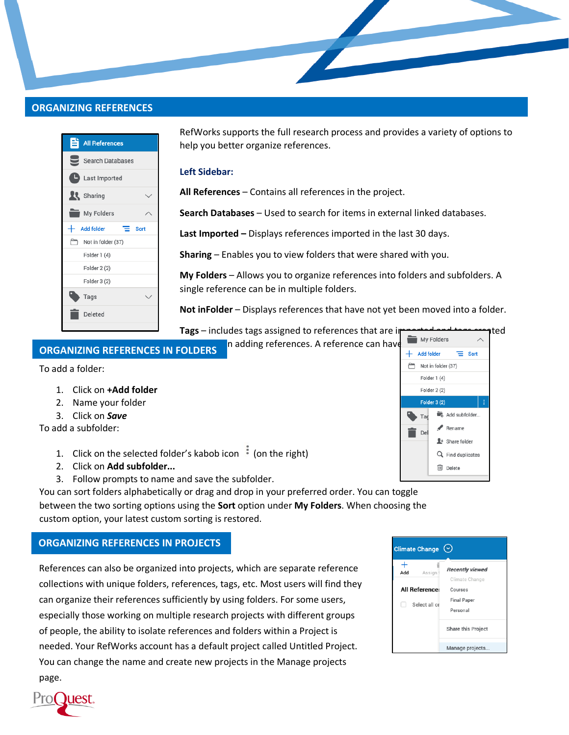# **ORGANIZING REFERENCES**



RefWorks supports the full research process and provides a variety of options to help you better organize references.

#### **Left Sidebar:**

**All References** – Contains all references in the project.

**Search Databases** – Used to search for items in external linked databases.

**Last Imported –** Displays references imported in the last 30 days.

**Sharing** – Enables you to view folders that were shared with you.

**My Folders** – Allows you to organize references into folders and subfolders. A single reference can be in multiple folders.

**Not inFolder** – Displays references that have not yet been moved into a folder.

**Tags** – includes tags assigned to references that are improved and tagged and tagged in  $\sim$ 

In adding references. A reference can have  $\frac{1}{1 + \frac{1}{2}}$  and folder  $\frac{1}{1}$  sont

# **ORGANIZING REFERENCES IN FOLDERS**

To add a folder:

- 1. Click on **+Add folder**
- 2. Name your folder
- 3. Click on *Save*

To add a subfolder:

- 1. Click on the selected folder's kabob icon  $\frac{1}{2}$  (on the right)
- 2. Click on **Add subfolder...**
- 3. Follow prompts to name and save the subfolder.

You can sort folders alphabetically or drag and drop in your preferred order. You can toggle between the two sorting options using the **Sort** option under **My Folders**. When choosing the custom option, your latest custom sorting is restored.

### **ORGANIZING REFERENCES IN PROJECTS**

References can also be organized into projects, which are separate reference collections with unique folders, references, tags, etc. Most users will find they can organize their references sufficiently by using folders. For some users, especially those working on multiple research projects with different groups of people, the ability to isolate references and folders within a Project is needed. Your RefWorks account has a default project called Untitled Project. You can change the name and create new projects in the Manage projects page.



Not in folder (37) Folder 1 (4) Folder 2 (2) Folder 3 (2)

■ Del

Add subfolder...  $\blacktriangleright$  Rename

 $+$  Share folder Q Find duplicates **III** Delete

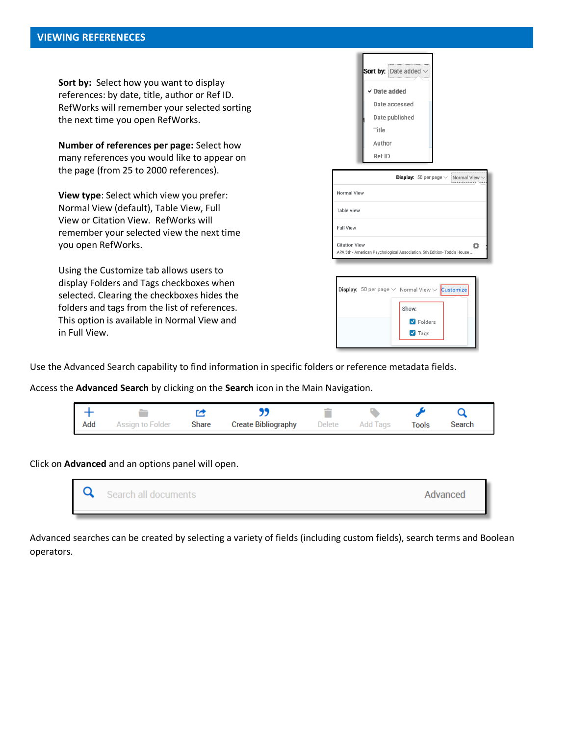**Sort by:** Select how you want to display references: by date, title, author or Ref ID. RefWorks will remember your selected sorting the next time you open RefWorks.

**Number of references per page:** Select how many references you would like to appear on the page (from 25 to 2000 references).

**View type**: Select which view you prefer: Normal View (default), Table View, Full View or Citation View. RefWorks will remember your selected view the next time you open RefWorks.

Using the Customize tab allows users to display Folders and Tags checkboxes when selected. Clearing the checkboxes hides the folders and tags from the list of references. This option is available in Normal View and in Full View.

| Sort by: $Date added \vee$ |  |
|----------------------------|--|
| √ Date added               |  |
| Date accessed              |  |
| Date published             |  |
| Title                      |  |
| Author                     |  |
| Ref ID                     |  |
|                            |  |

|                                                                                                 |  | <b>Display:</b> 50 per page $\vee$ Normal View $\vee$ |
|-------------------------------------------------------------------------------------------------|--|-------------------------------------------------------|
| Normal View                                                                                     |  |                                                       |
| <b>Table View</b>                                                                               |  |                                                       |
| <b>Full View</b>                                                                                |  |                                                       |
| <b>Citation View</b><br>APA 5th - American Psychological Association, 5th Edition- Todd's House |  |                                                       |

|  | <b>Display:</b> 50 per page $\vee$ Normal View $\vee$ Customize |  |
|--|-----------------------------------------------------------------|--|
|  | Show:                                                           |  |
|  | <b>V</b> Folders                                                |  |
|  | $\blacksquare$ Tags                                             |  |
|  |                                                                 |  |

Use the Advanced Search capability to find information in specific folders or reference metadata fields.

Access the **Advanced Search** by clicking on the **Search** icon in the Main Navigation.

| Add | Assian to Folder | Share | <b>Create Bibliography</b> | Delete | Add lags | Tools |  |
|-----|------------------|-------|----------------------------|--------|----------|-------|--|

Click on **Advanced** and an options panel will open.



Advanced searches can be created by selecting a variety of fields (including custom fields), search terms and Boolean operators.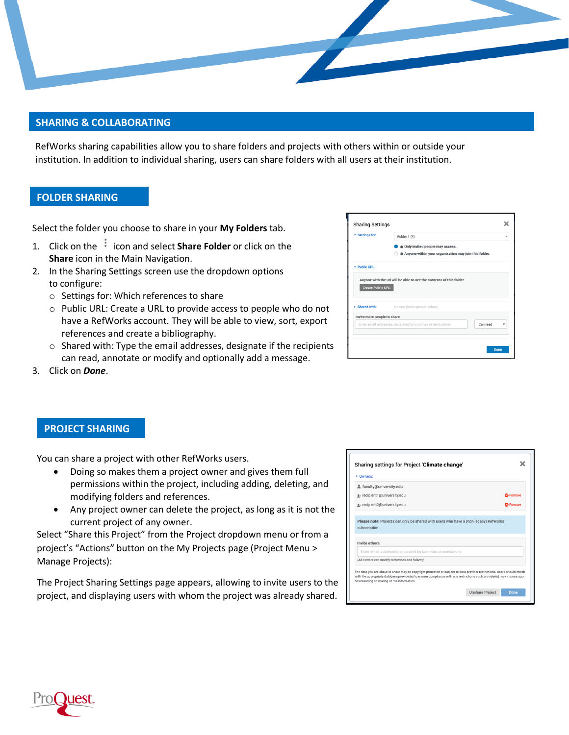

# **SHARING & COLLABORATING**

RefWorks sharing capabilities allow you to share folders and projects with others within or outside your institution. In addition to individual sharing, users can share folders with all users at their institution.

## **FOLDER SHARING**

Select the folder you choose to share in your **My Folders** tab.

- 1. Click on the <sup>i</sup> icon and select **Share Folder** or click on the **Share** icon in the Main Navigation.
- 2. In the Sharing Settings screen use the dropdown options to configure:
	- o Settings for: Which references to share
	- o Public URL: Create a URL to provide access to people who do not have a RefWorks account. They will be able to view, sort, export references and create a bibliography.
	- o Shared with: Type the email addresses, designate if the recipients can read, annotate or modify and optionally add a message.

| <b>v</b> Settings for:      | Folder 1 (4)                                                                             |                         |
|-----------------------------|------------------------------------------------------------------------------------------|-------------------------|
|                             | Only invited people may access.<br>Anyone within your organization may join this folder. |                         |
| * Public URL:               |                                                                                          |                         |
|                             |                                                                                          |                         |
|                             | Anyone with the url will be able to see the contents of this folder                      |                         |
| <b>Create Public URL</b>    |                                                                                          |                         |
|                             |                                                                                          |                         |
| > Shared with:              | No one (Invite people below)                                                             |                         |
| Invite more people to share |                                                                                          |                         |
|                             | Enter email addresses, separated by commas or semicolons<br>Can read                     | $\overline{\mathbf{v}}$ |
|                             |                                                                                          |                         |

3. Click on *Done*.

### **PROJECT SHARING**

You can share a project with other RefWorks users.

- Doing so makes them a project owner and gives them full permissions within the project, including adding, deleting, and modifying folders and references.
- Any project owner can delete the project, as long as it is not the current project of any owner.

Select "Share this Project" from the Project dropdown menu or from a project's "Actions" button on the My Projects page (Project Menu > Manage Projects):

The Project Sharing Settings page appears, allowing to invite users to the project, and displaying users with whom the project was already shared.

| g+ recipient1@university.edu<br>g+ recipient2@university.edu<br>Please note: Projects can only be shared with users who have a (non-legacy) RefWorks<br>subscription. | <b>C3</b> Remove<br><b>63 Remove</b><br>Invite others |
|-----------------------------------------------------------------------------------------------------------------------------------------------------------------------|-------------------------------------------------------|
|                                                                                                                                                                       |                                                       |
|                                                                                                                                                                       |                                                       |
|                                                                                                                                                                       |                                                       |
| Enter email addresses, separated by commas or semicolons                                                                                                              |                                                       |
|                                                                                                                                                                       | (All owners can modify references and folders)        |